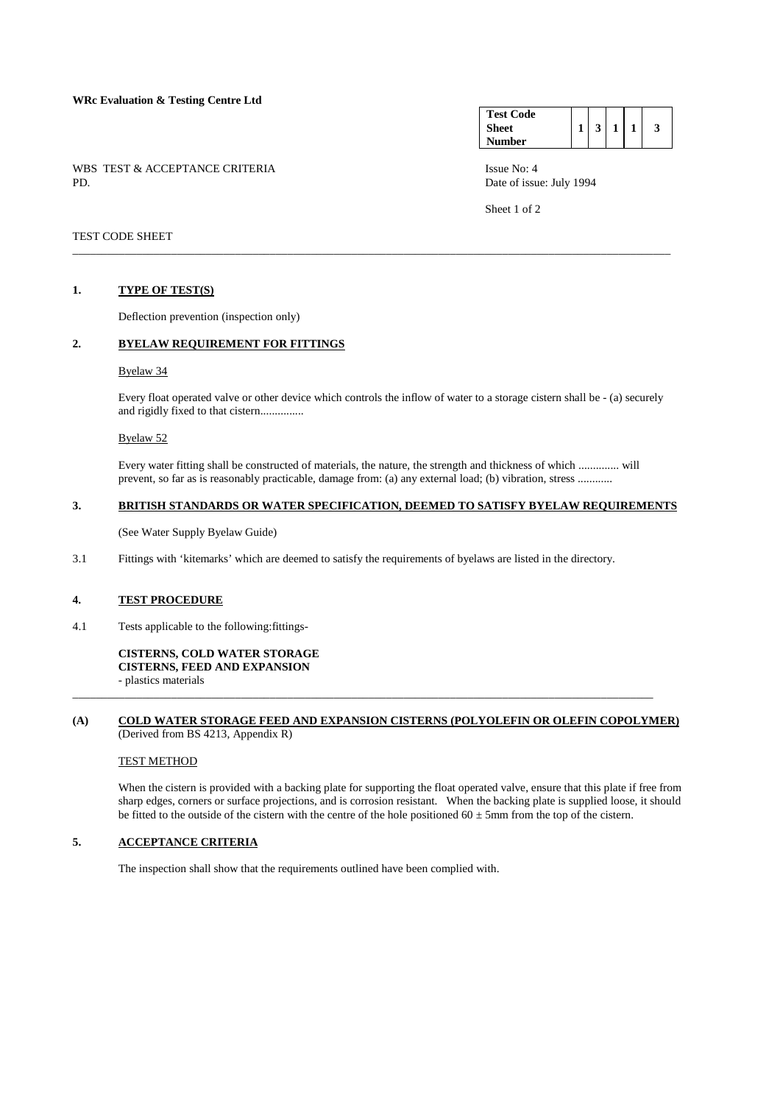### **WRc Evaluation & Testing Centre Ltd**

WBS TEST & ACCEPTANCE CRITERIA ISSUE No: 4<br>PD Date of issue

#### **Test Code Sheet Number**   $1 \mid 3 \mid 1 \mid 1 \mid 3$

Date of issue: July 1994

Sheet 1 of 2

## TEST CODE SHEET

#### **1. TYPE OF TEST(S)**

Deflection prevention (inspection only)

# **2. BYELAW REQUIREMENT FOR FITTINGS**

#### Byelaw 34

 Every float operated valve or other device which controls the inflow of water to a storage cistern shall be - (a) securely and rigidly fixed to that cistern...............

\_\_\_\_\_\_\_\_\_\_\_\_\_\_\_\_\_\_\_\_\_\_\_\_\_\_\_\_\_\_\_\_\_\_\_\_\_\_\_\_\_\_\_\_\_\_\_\_\_\_\_\_\_\_\_\_\_\_\_\_\_\_\_\_\_\_\_\_\_\_\_\_\_\_\_\_\_\_\_\_\_\_\_\_\_\_\_\_\_\_\_\_\_\_\_\_\_\_\_\_\_\_\_

### Byelaw 52

 Every water fitting shall be constructed of materials, the nature, the strength and thickness of which .............. will prevent, so far as is reasonably practicable, damage from: (a) any external load; (b) vibration, stress ............

## **3. BRITISH STANDARDS OR WATER SPECIFICATION, DEEMED TO SATISFY BYELAW REQUIREMENTS**

(See Water Supply Byelaw Guide)

3.1 Fittings with 'kitemarks' which are deemed to satisfy the requirements of byelaws are listed in the directory.

#### **4. TEST PROCEDURE**

4.1 Tests applicable to the following:fittings-

# **CISTERNS, COLD WATER STORAGE**

 **CISTERNS, FEED AND EXPANSION**

 - plastics materials \_\_\_\_\_\_\_\_\_\_\_\_\_\_\_\_\_\_\_\_\_\_\_\_\_\_\_\_\_\_\_\_\_\_\_\_\_\_\_\_\_\_\_\_\_\_\_\_\_\_\_\_\_\_\_\_\_\_\_\_\_\_\_\_\_\_\_\_\_\_\_\_\_\_\_\_\_\_\_\_\_\_\_\_\_\_\_\_\_\_\_\_\_\_\_\_\_\_\_\_

### **(A) COLD WATER STORAGE FEED AND EXPANSION CISTERNS (POLYOLEFIN OR OLEFIN COPOLYMER)** (Derived from BS 4213, Appendix R)

#### TEST METHOD

 When the cistern is provided with a backing plate for supporting the float operated valve, ensure that this plate if free from sharp edges, corners or surface projections, and is corrosion resistant. When the backing plate is supplied loose, it should be fitted to the outside of the cistern with the centre of the hole positioned  $60 \pm 5$ mm from the top of the cistern.

# **5. ACCEPTANCE CRITERIA**

The inspection shall show that the requirements outlined have been complied with.